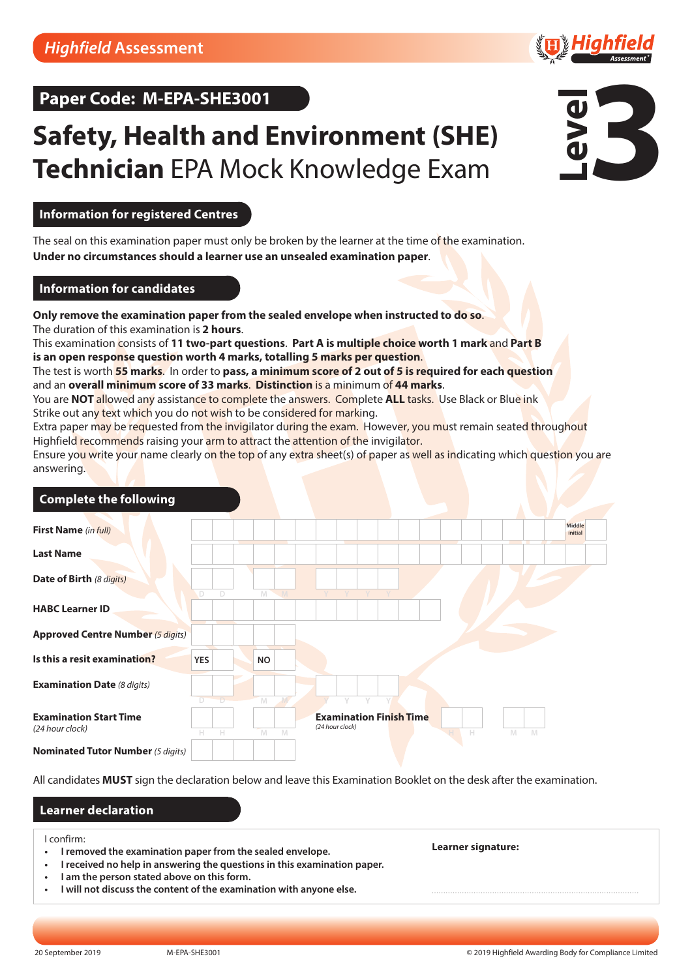## **Paper Code: M-EPA-SHE3001**

# **Safety, Health and Environment (SHE) Technician** EPA Mock Knowledge Exam

### **Information for registered Centres**

The seal on this examination paper must only be broken by the learner at the time of the examination. **Under no circumstances should a learner use an unsealed examination paper**.

### **Information for candidates**

#### **Only remove the examination paper from the sealed envelope when instructed to do so**. The duration of this examination is **2 hours**.

This examination consists of **11 two-part questions**. **Part A is multiple choice worth 1 mark** and **Part B is an open response question worth 4 marks, totalling 5 marks per question**.

The test is worth **55 marks**. In order to **pass, a minimum score of 2 out of 5 is required for each question** and an **overall minimum score of 33 marks**. **Distinction** is a minimum of **44 marks**.

You are **NOT** allowed any assistance to complete the answers. Complete **ALL** tasks. Use Black or Blue ink Strike out any text which you do not wish to be considered for marking.

Extra paper may be requested from the invigilator during the exam. However, you must remain seated throughout Highfield recommends raising your arm to attract the attention of the invigilator.

Ensure you write your name clearly on the top of any extra sheet(s) of paper as well as indicating which question you are answering.

#### **Complete the following**

| First Name (in full)                             |            |   |             |   |  |                 |   |                                |  |   |   |   | Middle<br>initial |  |
|--------------------------------------------------|------------|---|-------------|---|--|-----------------|---|--------------------------------|--|---|---|---|-------------------|--|
| <b>Last Name</b>                                 |            |   |             |   |  |                 |   |                                |  |   |   |   |                   |  |
| Date of Birth (8 digits)                         |            |   |             |   |  |                 |   |                                |  |   |   |   |                   |  |
|                                                  | D          | D | M           | M |  |                 |   |                                |  |   |   |   |                   |  |
| <b>HABC Learner ID</b>                           |            |   |             |   |  |                 |   |                                |  |   |   |   |                   |  |
| <b>Approved Centre Number (5 digits)</b>         |            |   |             |   |  |                 |   |                                |  |   |   |   |                   |  |
| Is this a resit examination?                     | <b>YES</b> |   | <b>NO</b>   |   |  |                 |   |                                |  |   |   |   |                   |  |
| <b>Examination Date (8 digits)</b>               |            |   |             |   |  |                 |   |                                |  |   |   |   |                   |  |
|                                                  | D          |   | $\mathbb N$ |   |  | V               | V |                                |  |   |   |   |                   |  |
| <b>Examination Start Time</b><br>(24 hour clock) |            |   |             |   |  | (24 hour clock) |   | <b>Examination Finish Time</b> |  |   |   |   |                   |  |
|                                                  | H.         | H | M           | M |  |                 |   |                                |  | Н | M | M |                   |  |
| <b>Nominated Tutor Number (5 digits)</b>         |            |   |             |   |  |                 |   |                                |  |   |   |   |                   |  |

All candidates **MUST** sign the declaration below and leave this Examination Booklet on the desk after the examination.

### **Learner declaration**

#### I confirm:

- **• I removed the examination paper from the sealed envelope.**
- **• I received no help in answering the questions in this examination paper.**
- **• I am the person stated above on this form.**
- **• I will not discuss the content of the examination with anyone else.**

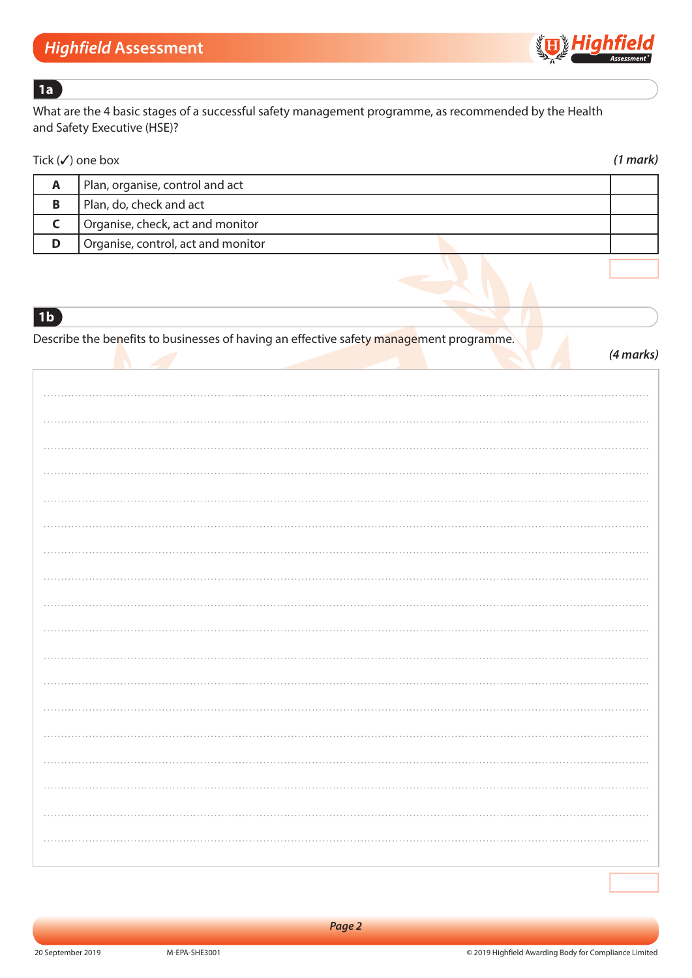

What are the 4 basic stages of a successful safety management programme, as recommended by the Health and Safety Executive (HSE)?

| A | Plan, organise, control and act    |  |
|---|------------------------------------|--|
|   | Plan, do, check and act            |  |
|   | Organise, check, act and monitor   |  |
|   | Organise, control, act and monitor |  |
|   |                                    |  |

### **1b**

Describe the benefits to businesses of having an effective safety management programme.

*(4 marks)*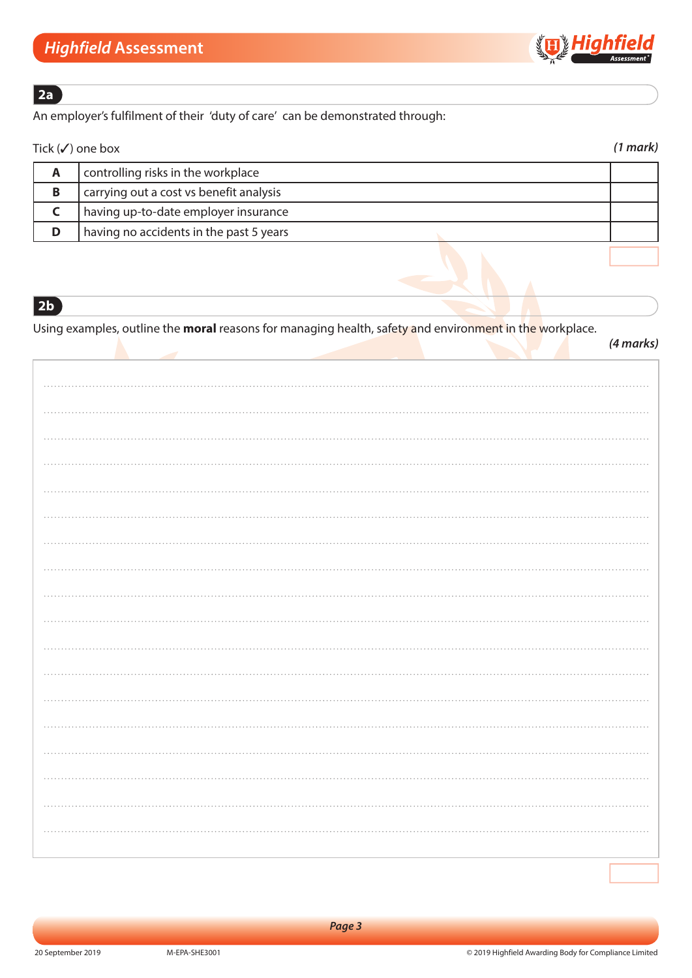

An employer's fulfilment of their 'duty of care' can be demonstrated through:

|              | Tick $(\checkmark)$ one box                                                                             | (1 mark)  |
|--------------|---------------------------------------------------------------------------------------------------------|-----------|
| $\mathbf{A}$ | controlling risks in the workplace                                                                      |           |
| B            | carrying out a cost vs benefit analysis                                                                 |           |
| $\mathsf{C}$ | having up-to-date employer insurance                                                                    |           |
| D            | having no accidents in the past 5 years                                                                 |           |
|              |                                                                                                         |           |
| 2b           |                                                                                                         |           |
|              | Using examples, outline the moral reasons for managing health, safety and environment in the workplace. | (4 marks) |
|              |                                                                                                         |           |
|              |                                                                                                         |           |
|              |                                                                                                         |           |
|              |                                                                                                         |           |
|              |                                                                                                         |           |
|              |                                                                                                         |           |
|              |                                                                                                         |           |
|              |                                                                                                         |           |
|              |                                                                                                         |           |
|              |                                                                                                         |           |
|              |                                                                                                         |           |
|              |                                                                                                         |           |
|              |                                                                                                         |           |
|              |                                                                                                         |           |
|              |                                                                                                         |           |
|              |                                                                                                         |           |
|              |                                                                                                         |           |
|              |                                                                                                         |           |
|              |                                                                                                         |           |
|              |                                                                                                         |           |
|              |                                                                                                         |           |
|              |                                                                                                         |           |
|              |                                                                                                         |           |
|              |                                                                                                         |           |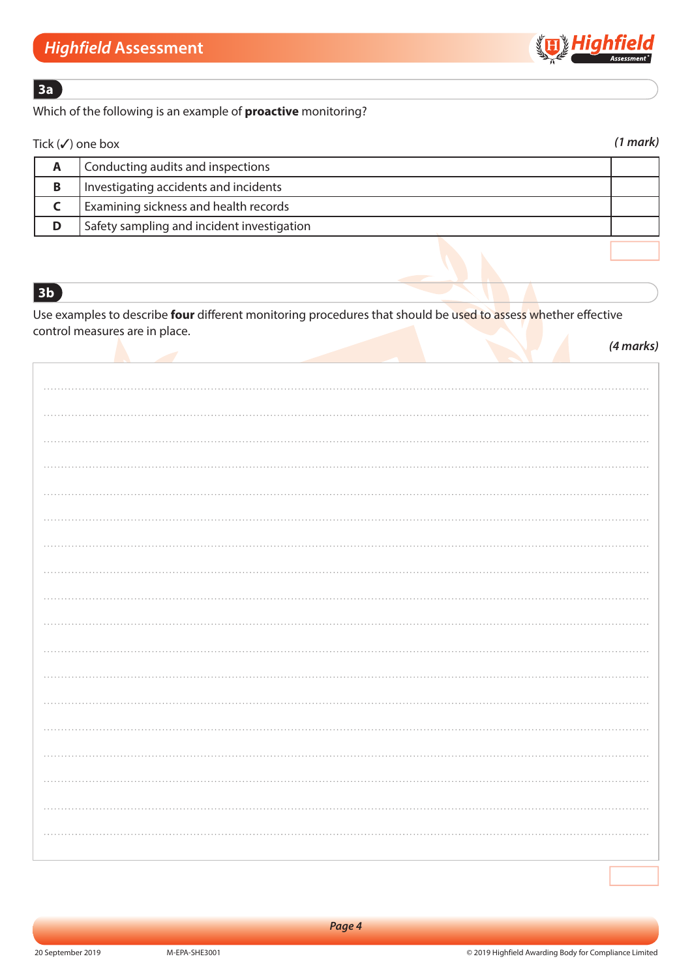

 *(1 mark)*

#### **3a**

Which of the following is an example of **proactive** monitoring?

#### Tick (✓) one box

|   | Conducting audits and inspections            |  |
|---|----------------------------------------------|--|
| В | Investigating accidents and incidents        |  |
|   | <b>Examining sickness and health records</b> |  |
|   | Safety sampling and incident investigation   |  |

#### **3b**

Use examples to describe **four** different monitoring procedures that should be used to assess whether effective control measures are in place.

| $\cdots$  |
|-----------|
| $- - - -$ |
|           |
| $- - - -$ |
|           |
|           |
|           |
|           |
|           |
|           |
|           |
|           |
|           |
| .         |
|           |
|           |
|           |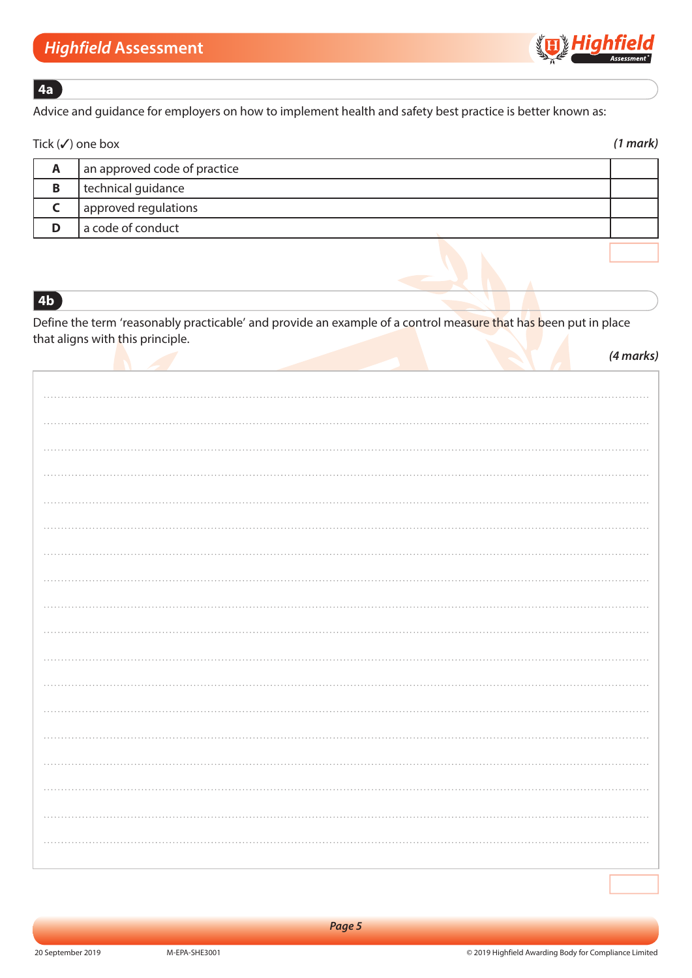

### **4a**

Advice and guidance for employers on how to implement health and safety best practice is better known as:

| Tick $(\checkmark)$ one box |                              | (1 mark) |
|-----------------------------|------------------------------|----------|
| A                           | an approved code of practice |          |
| В                           | technical guidance           |          |
|                             | approved regulations         |          |
|                             | a code of conduct            |          |
|                             |                              |          |

### **4b**

Define the term 'reasonably practicable' and provide an example of a control measure that has been put in place that aligns with this principle.

| $- - - -$ |
|-----------|
|           |
|           |
|           |
|           |
|           |
|           |
|           |
|           |
|           |
|           |
|           |
|           |
|           |
|           |
|           |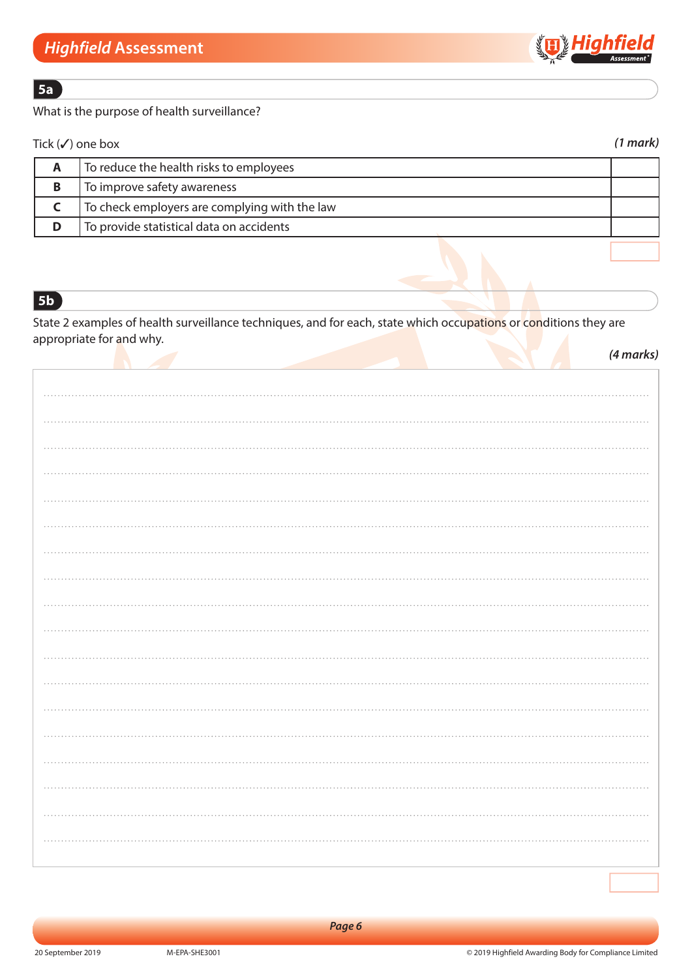

 *(1 mark)*

### **5a**

What is the purpose of health surveillance?

#### Tick (✓) one box

| To improve safety awareness                   |  |
|-----------------------------------------------|--|
|                                               |  |
| To check employers are complying with the law |  |
| To provide statistical data on accidents      |  |

### **5b**

State 2 examples of health surveillance techniques, and for each, state which occupations or conditions they are appropriate for and why.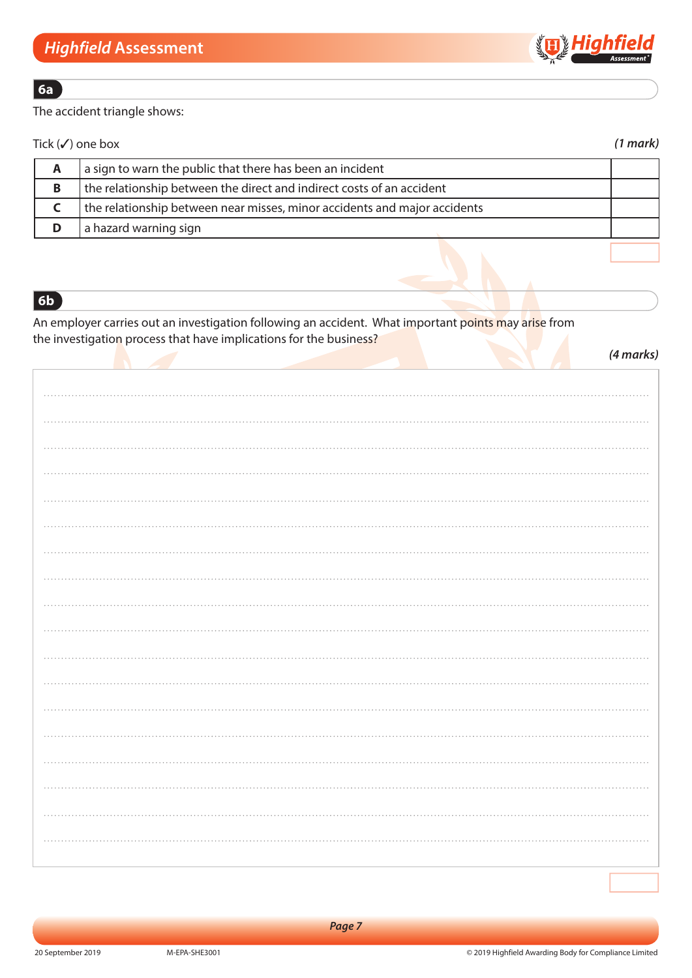The accident triangle shows:

#### Tick (✓) one box

| A | a sign to warn the public that there has been an incident                 |  |
|---|---------------------------------------------------------------------------|--|
| в | the relationship between the direct and indirect costs of an accident     |  |
|   | the relationship between near misses, minor accidents and major accidents |  |
| D | a hazard warning sign                                                     |  |
|   |                                                                           |  |

### **6b**

An employer carries out an investigation following an accident. What important points may arise from the investigation process that have implications for the business?

| $\cdots$ |
|----------|
|          |
|          |
|          |
|          |
|          |
|          |
|          |
| $\cdots$ |
|          |
| $\cdots$ |
|          |
|          |
| $\cdots$ |
|          |
| $\cdots$ |
|          |
|          |



*(4 marks)*

 *(1 mark)*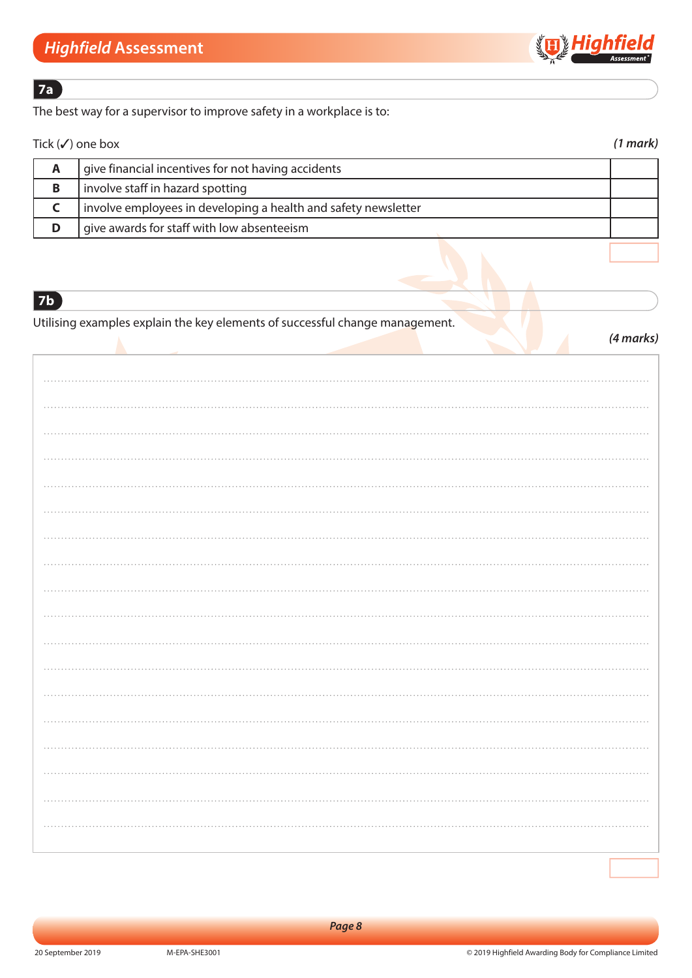

The best way for a supervisor to improve safety in a workplace is to:

| Tick (√) one box |  |
|------------------|--|
|------------------|--|

| A | give financial incentives for not having accidents             |  |
|---|----------------------------------------------------------------|--|
|   | involve staff in hazard spotting                               |  |
|   | involve employees in developing a health and safety newsletter |  |
|   | give awards for staff with low absenteeism                     |  |

### **7b**

Utilising examples explain the key elements of successful change management.

*(4 marks)*

 *(1 mark)*

| .        |
|----------|
| $\cdots$ |
|          |
|          |
| .        |
|          |
|          |
|          |
| $\cdots$ |
|          |
| $\cdots$ |
|          |
|          |
|          |
|          |
|          |
|          |
|          |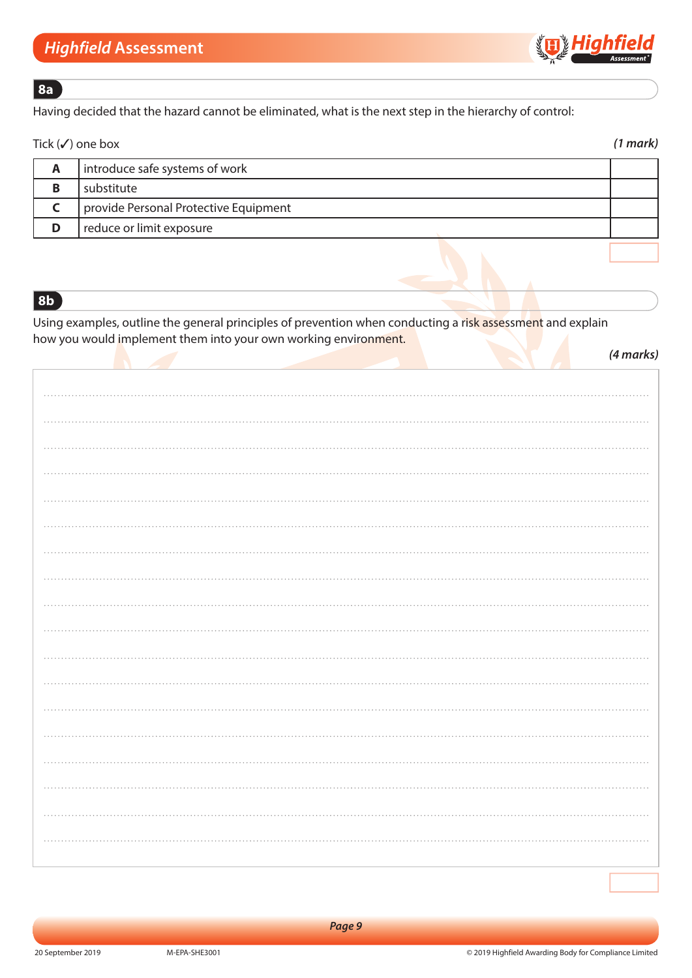

#### **8a**

Having decided that the hazard cannot be eliminated, what is the next step in the hierarchy of control:

|   | (1 mark)<br>Tick $(\checkmark)$ one box |  |
|---|-----------------------------------------|--|
| A | introduce safe systems of work          |  |
| В | substitute                              |  |
|   | provide Personal Protective Equipment   |  |
| D | reduce or limit exposure                |  |
|   |                                         |  |

### **8b**

Using examples, outline the general principles of prevention when conducting a risk assessment and explain how you would implement them into your own working environment.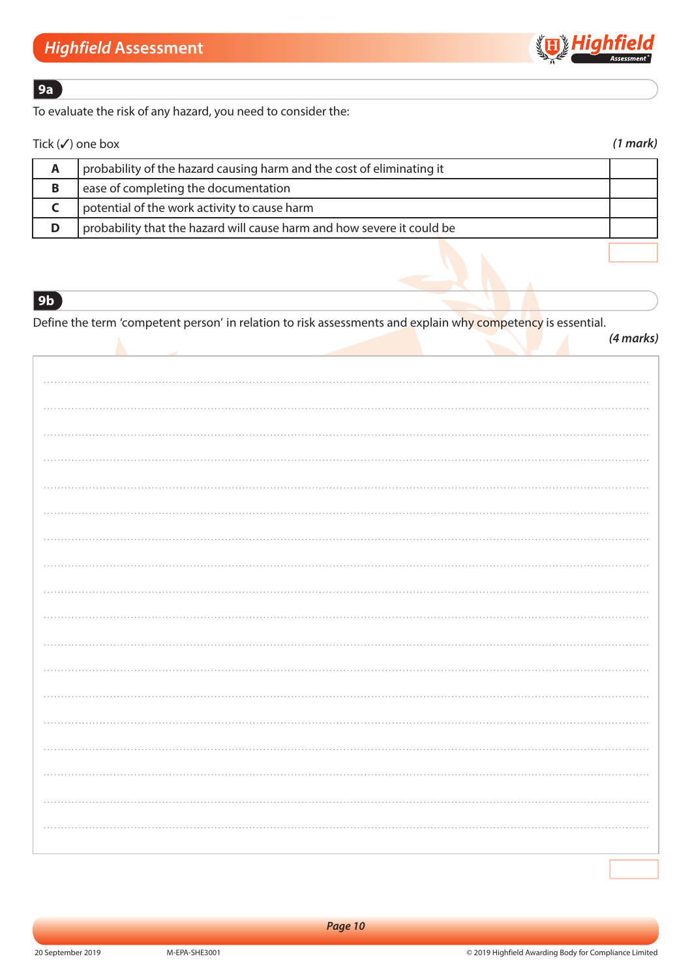

To evaluate the risk of any hazard, you need to consider the:

#### Tick (✓) one box

|   | (1 mark)<br>Tick $(\checkmark)$ one box                                |  |
|---|------------------------------------------------------------------------|--|
| A | probability of the hazard causing harm and the cost of eliminating it  |  |
| B | ease of completing the documentation                                   |  |
|   | potential of the work activity to cause harm                           |  |
| D | probability that the hazard will cause harm and how severe it could be |  |

#### **9b**

Define the term 'competent person' in relation to risk assessments and explain why competency is essential. *(4 marks)*

| .        |
|----------|
|          |
|          |
| $\cdots$ |
| .        |
|          |
|          |
|          |
|          |
|          |
|          |
|          |
|          |
| $- - -$  |
| .        |
| $\cdots$ |
|          |
|          |
|          |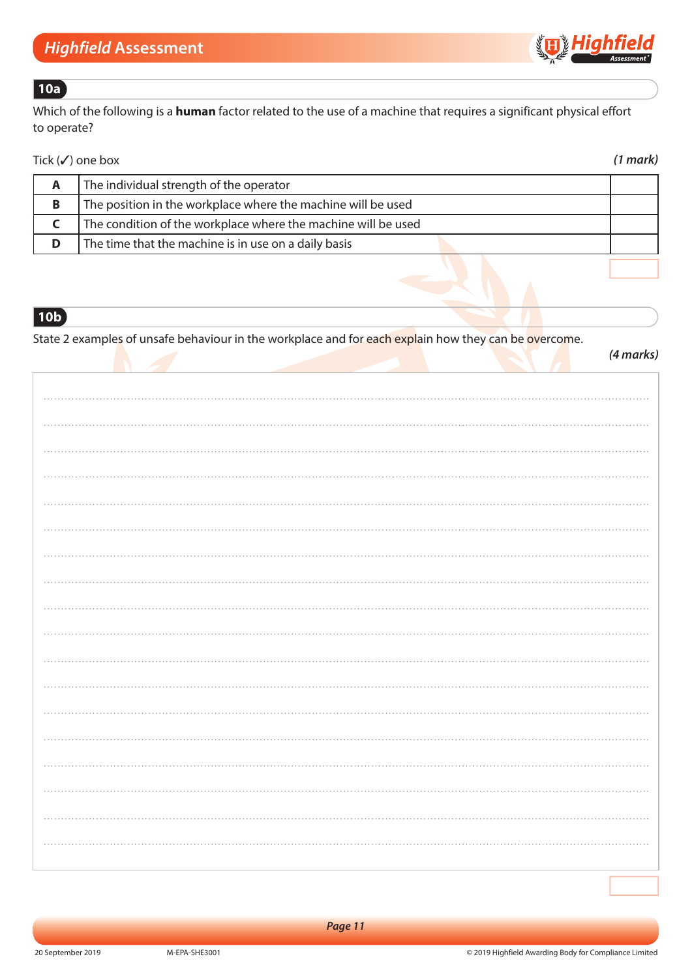

Which of the following is a **human** factor related to the use of a machine that requires a significant physical effort to operate?

#### Tick  $(V)$  one box

| r. | The individual strength of the operator                       |  |
|----|---------------------------------------------------------------|--|
| в  | The position in the workplace where the machine will be used  |  |
|    | The condition of the workplace where the machine will be used |  |
|    | The time that the machine is in use on a daily basis          |  |
|    |                                                               |  |

### **10b**

State 2 examples of unsafe behaviour in the workplace and for each explain how they can be overcome.

*(4 marks)*

| .        |
|----------|
|          |
|          |
|          |
| $\cdots$ |
|          |
|          |
|          |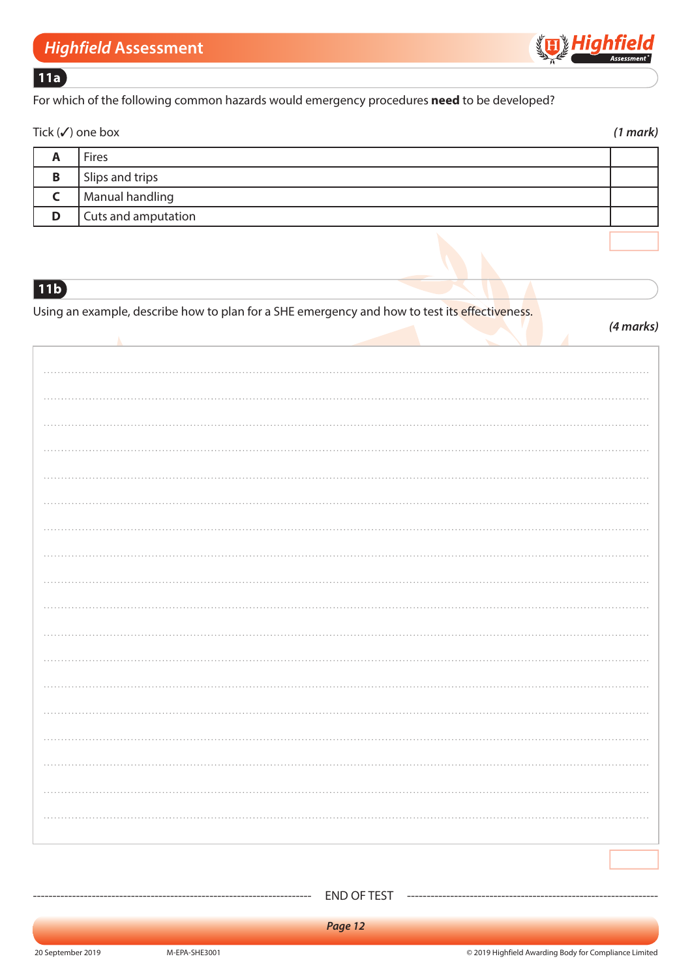

### **11a**

For which of the following common hazards would emergency procedures **need** to be developed?

#### Tick (✓) one box

|   | Tick $(\checkmark)$ one box<br>(1 mark) |  |
|---|-----------------------------------------|--|
| A | <b>Fires</b>                            |  |
| B | Slips and trips                         |  |
|   | Manual handling                         |  |
| D | Cuts and amputation                     |  |
|   |                                         |  |

### **11b**

Using an example, describe how to plan for a SHE emergency and how to test its effectiveness.

| $-1 - 1 - 1$    |  |
|-----------------|--|
|                 |  |
|                 |  |
|                 |  |
| .               |  |
|                 |  |
|                 |  |
|                 |  |
|                 |  |
|                 |  |
|                 |  |
|                 |  |
|                 |  |
| $\sim$ - $\sim$ |  |
|                 |  |
|                 |  |
|                 |  |
|                 |  |
|                 |  |
|                 |  |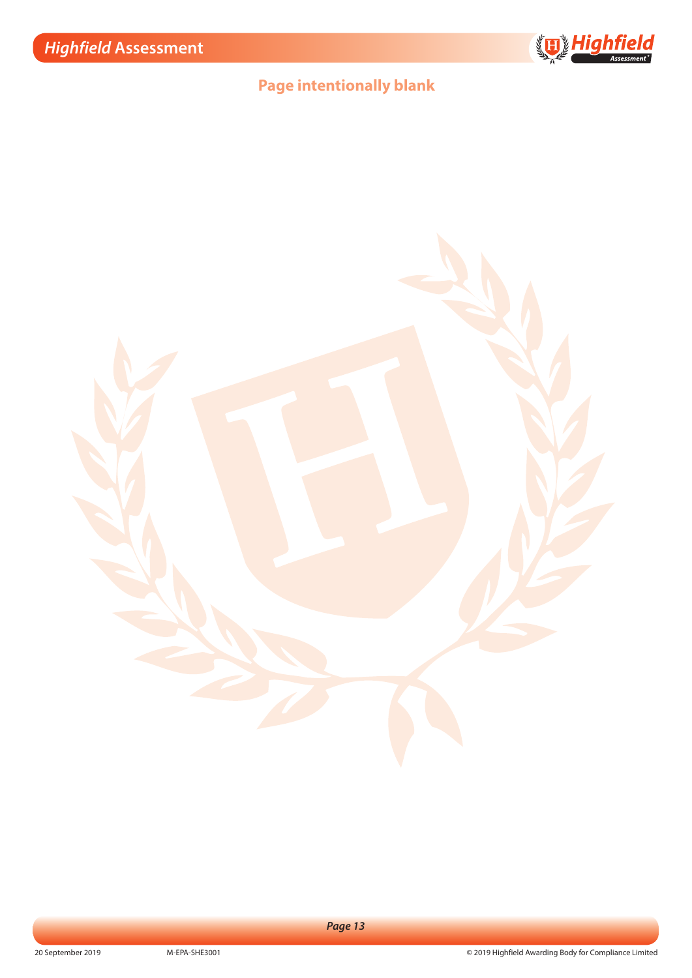

# **Page intentionally blank**



*Page 13*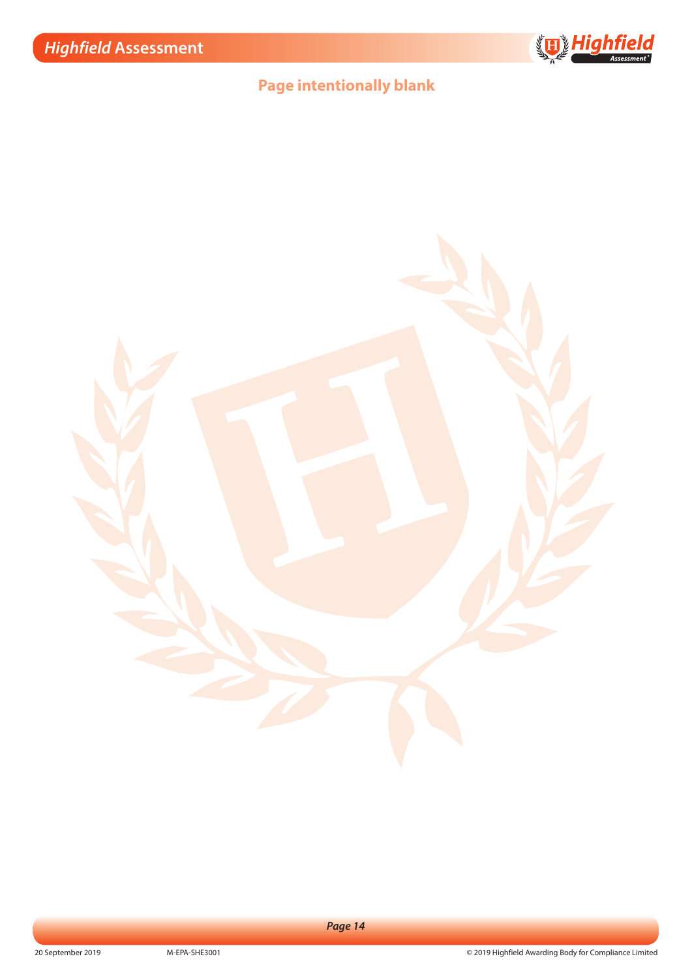

# **Page intentionally blank**



*Page 14*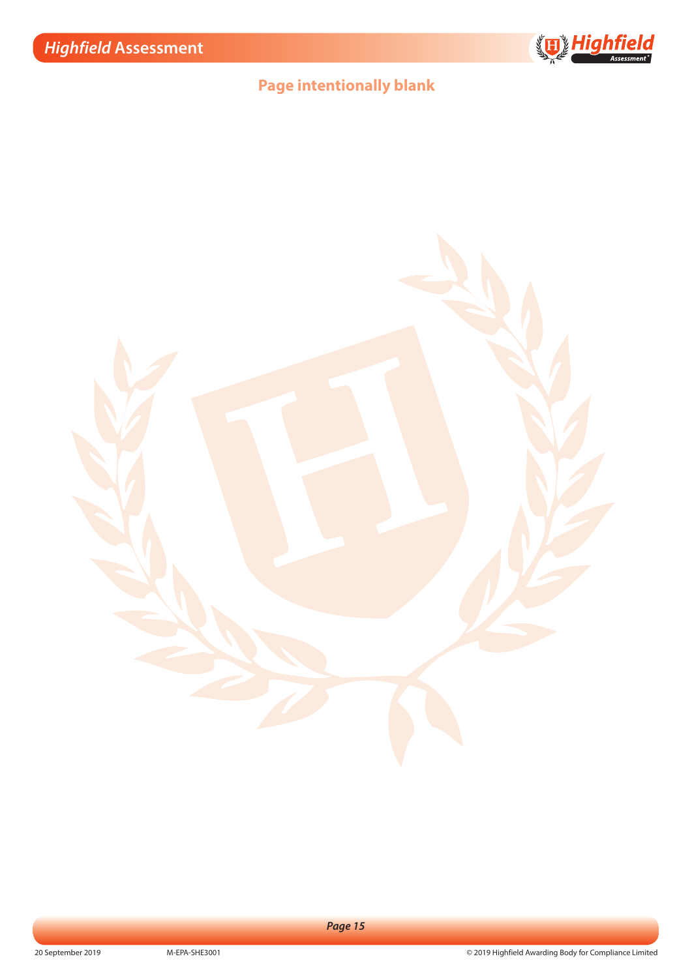

# **Page intentionally blank**



*Page 15*